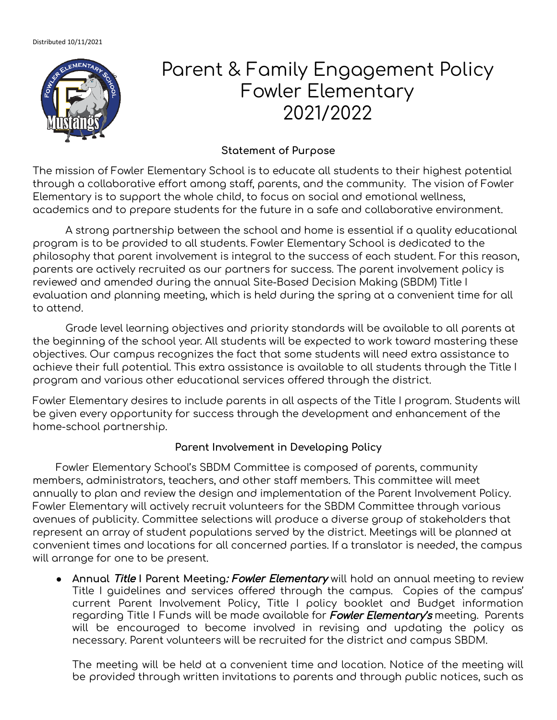

# Parent & Family Engagement Policy Fowler Elementary 2021/2022

## **Statement of Purpose**

The mission of Fowler Elementary School is to educate all students to their highest potential through a collaborative effort among staff, parents, and the community. The vision of Fowler Elementary is to support the whole child, to focus on social and emotional wellness, academics and to prepare students for the future in a safe and collaborative environment.

A strong partnership between the school and home is essential if a quality educational program is to be provided to all students. Fowler Elementary School is dedicated to the philosophy that parent involvement is integral to the success of each student. For this reason, parents are actively recruited as our partners for success. The parent involvement policy is reviewed and amended during the annual Site-Based Decision Making (SBDM) Title I evaluation and planning meeting, which is held during the spring at a convenient time for all to attend.

Grade level learning objectives and priority standards will be available to all parents at the beginning of the school year. All students will be expected to work toward mastering these objectives. Our campus recognizes the fact that some students will need extra assistance to achieve their full potential. This extra assistance is available to all students through the Title I program and various other educational services offered through the district.

Fowler Elementary desires to include parents in all aspects of the Title I program. Students will be given every opportunity for success through the development and enhancement of the home-school partnership.

## **Parent Involvement in Developing Policy**

Fowler Elementary School's SBDM Committee is composed of parents, community members, administrators, teachers, and other staff members. This committee will meet annually to plan and review the design and implementation of the Parent Involvement Policy. Fowler Elementary will actively recruit volunteers for the SBDM Committee through various avenues of publicity. Committee selections will produce a diverse group of stakeholders that represent an array of student populations served by the district. Meetings will be planned at convenient times and locations for all concerned parties. If a translator is needed, the campus will arrange for one to be present.

● **Annual** Title **I Parent Meeting**: Fowler Elementary will hold an annual meeting to review Title I guidelines and services offered through the campus. Copies of the campus' current Parent Involvement Policy, Title I policy booklet and Budget information regarding Title I Funds will be made available for **Fowler Elementary's** meeting. Parents will be encouraged to become involved in revising and updating the policy as necessary. Parent volunteers will be recruited for the district and campus SBDM.

The meeting will be held at a convenient time and location. Notice of the meeting will be provided through written invitations to parents and through public notices, such as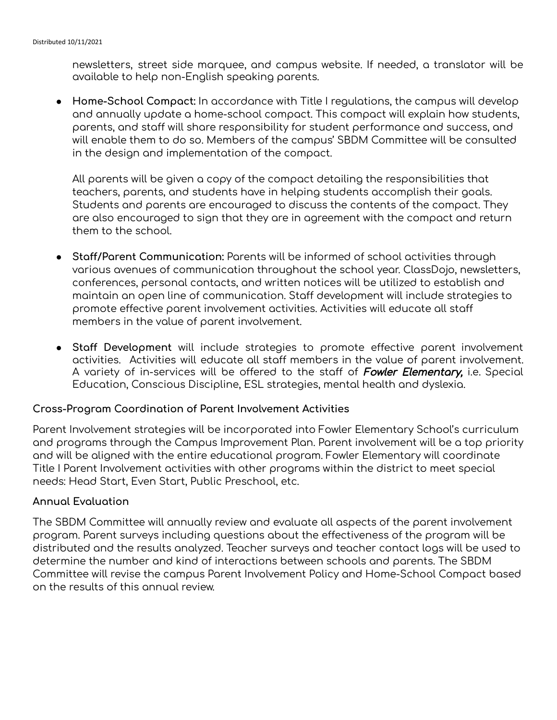newsletters, street side marquee, and campus website. If needed, a translator will be available to help non-English speaking parents.

● **Home-School Compact:** In accordance with Title I regulations, the campus will develop and annually update a home-school compact. This compact will explain how students, parents, and staff will share responsibility for student performance and success, and will enable them to do so. Members of the campus' SBDM Committee will be consulted in the design and implementation of the compact.

All parents will be given a copy of the compact detailing the responsibilities that teachers, parents, and students have in helping students accomplish their goals. Students and parents are encouraged to discuss the contents of the compact. They are also encouraged to sign that they are in agreement with the compact and return them to the school.

- **Staff/Parent Communication:** Parents will be informed of school activities through various avenues of communication throughout the school year. ClassDojo, newsletters, conferences, personal contacts, and written notices will be utilized to establish and maintain an open line of communication. Staff development will include strategies to promote effective parent involvement activities. Activities will educate all staff members in the value of parent involvement.
- **Staff Development** will include strategies to promote effective parent involvement activities. Activities will educate all staff members in the value of parent involvement. A variety of in-services will be offered to the staff of Fowler Elementary, i.e. Special Education, Conscious Discipline, ESL strategies, mental health and dyslexia.

### **Cross-Program Coordination of Parent Involvement Activities**

Parent Involvement strategies will be incorporated into Fowler Elementary School's curriculum and programs through the Campus Improvement Plan. Parent involvement will be a top priority and will be aligned with the entire educational program. Fowler Elementary will coordinate Title I Parent Involvement activities with other programs within the district to meet special needs: Head Start, Even Start, Public Preschool, etc.

### **Annual Evaluation**

The SBDM Committee will annually review and evaluate all aspects of the parent involvement program. Parent surveys including questions about the effectiveness of the program will be distributed and the results analyzed. Teacher surveys and teacher contact logs will be used to determine the number and kind of interactions between schools and parents. The SBDM Committee will revise the campus Parent Involvement Policy and Home-School Compact based on the results of this annual review.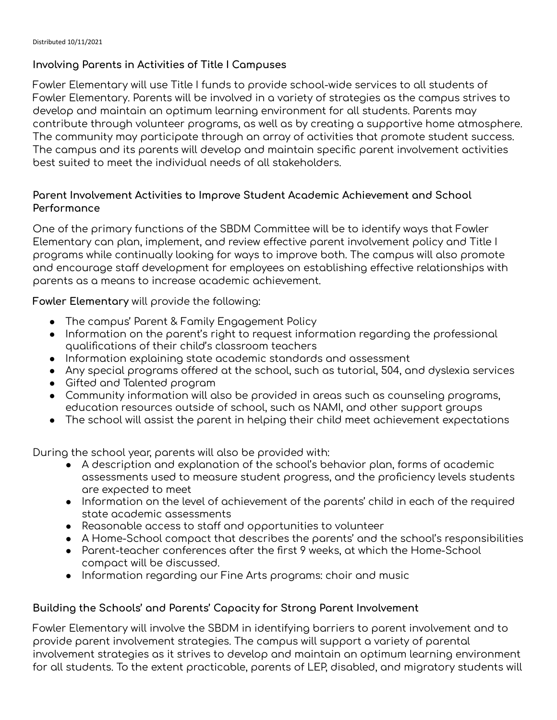## **Involving Parents in Activities of Title I Campuses**

Fowler Elementary will use Title I funds to provide school-wide services to all students of Fowler Elementary. Parents will be involved in a variety of strategies as the campus strives to develop and maintain an optimum learning environment for all students. Parents may contribute through volunteer programs, as well as by creating a supportive home atmosphere. The community may participate through an array of activities that promote student success. The campus and its parents will develop and maintain specific parent involvement activities best suited to meet the individual needs of all stakeholders.

## **Parent Involvement Activities to Improve Student Academic Achievement and School Performance**

One of the primary functions of the SBDM Committee will be to identify ways that Fowler Elementary can plan, implement, and review effective parent involvement policy and Title I programs while continually looking for ways to improve both. The campus will also promote and encourage staff development for employees on establishing effective relationships with parents as a means to increase academic achievement.

**Fowler Elementary** will provide the following:

- The campus' Parent & Family Engagement Policy
- Information on the parent's right to request information regarding the professional qualifications of their child's classroom teachers
- Information explaining state academic standards and assessment
- Any special programs offered at the school, such as tutorial, 504, and dyslexia services
- Gifted and Talented program
- Community information will also be provided in areas such as counseling programs, education resources outside of school, such as NAMI, and other support groups
- The school will assist the parent in helping their child meet achievement expectations

During the school year, parents will also be provided with:

- A description and explanation of the school's behavior plan, forms of academic assessments used to measure student progress, and the proficiency levels students are expected to meet
- Information on the level of achievement of the parents' child in each of the required state academic assessments
- Reasonable access to staff and opportunities to volunteer
- A Home-School compact that describes the parents' and the school's responsibilities
- Parent-teacher conferences after the first 9 weeks, at which the Home-School compact will be discussed.
- *●* Information regarding our Fine Arts programs: choir and music

## **Building the Schools' and Parents' Capacity for Strong Parent Involvement**

Fowler Elementary will involve the SBDM in identifying barriers to parent involvement and to provide parent involvement strategies. The campus will support a variety of parental involvement strategies as it strives to develop and maintain an optimum learning environment for all students. To the extent practicable, parents of LEP, disabled, and migratory students will